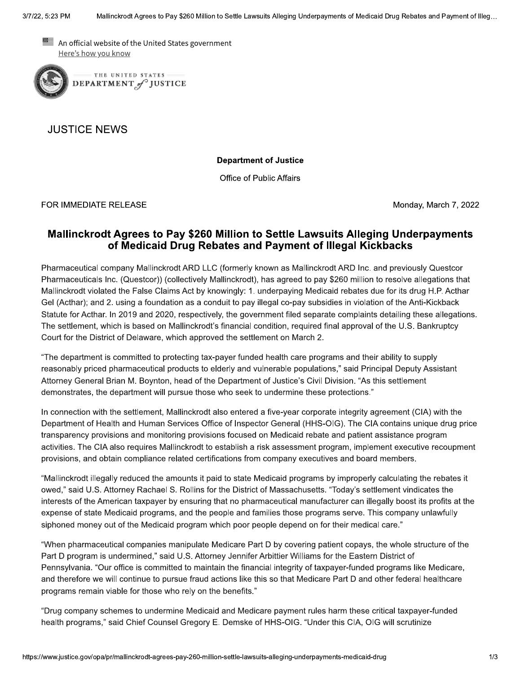An official website of the United States government Here's how you know



**JUSTICE NEWS** 

**Department of Justice** 

Office of Public Affairs

FOR IMMEDIATE RELEASE

Monday, March 7, 2022

## Mallinckrodt Agrees to Pay \$260 Million to Settle Lawsuits Alleging Underpayments of Medicaid Drug Rebates and Payment of Illegal Kickbacks

Pharmaceutical company Mallinckrodt ARD LLC (formerly known as Mallinckrodt ARD Inc. and previously Questcor Pharmaceuticals Inc. (Questcor)) (collectively Mallinckrodt), has agreed to pay \$260 million to resolve allegations that Mallinckrodt violated the False Claims Act by knowingly: 1. underpaying Medicaid rebates due for its drug H.P. Acthar Gel (Acthar); and 2. using a foundation as a conduit to pay illegal co-pay subsidies in violation of the Anti-Kickback Statute for Acthar. In 2019 and 2020, respectively, the government filed separate complaints detailing these allegations. The settlement, which is based on Mallinckrodt's financial condition, required final approval of the U.S. Bankruptcy Court for the District of Delaware, which approved the settlement on March 2.

"The department is committed to protecting tax-payer funded health care programs and their ability to supply reasonably priced pharmaceutical products to elderly and vulnerable populations," said Principal Deputy Assistant Attorney General Brian M. Boynton, head of the Department of Justice's Civil Division, "As this settlement demonstrates, the department will pursue those who seek to undermine these protections."

In connection with the settlement, Mallinckrodt also entered a five-year corporate integrity agreement (CIA) with the Department of Health and Human Services Office of Inspector General (HHS-OIG). The CIA contains unique drug price transparency provisions and monitoring provisions focused on Medicaid rebate and patient assistance program activities. The CIA also requires Mallinckrodt to establish a risk assessment program, implement executive recoupment provisions, and obtain compliance related certifications from company executives and board members.

"Mallinckrodt illegally reduced the amounts it paid to state Medicaid programs by improperly calculating the rebates it owed," said U.S. Attorney Rachael S. Rollins for the District of Massachusetts. "Today's settlement vindicates the interests of the American taxpayer by ensuring that no pharmaceutical manufacturer can illegally boost its profits at the expense of state Medicaid programs, and the people and families those programs serve. This company unlawfully siphoned money out of the Medicaid program which poor people depend on for their medical care."

"When pharmaceutical companies manipulate Medicare Part D by covering patient copays, the whole structure of the Part D program is undermined," said U.S. Attorney Jennifer Arbittier Williams for the Eastern District of Pennsylvania. "Our office is committed to maintain the financial integrity of taxpayer-funded programs like Medicare, and therefore we will continue to pursue fraud actions like this so that Medicare Part D and other federal healthcare programs remain viable for those who rely on the benefits."

"Drug company schemes to undermine Medicaid and Medicare payment rules harm these critical taxpayer-funded health programs," said Chief Counsel Gregory E. Demske of HHS-OIG. "Under this CIA, OIG will scrutinize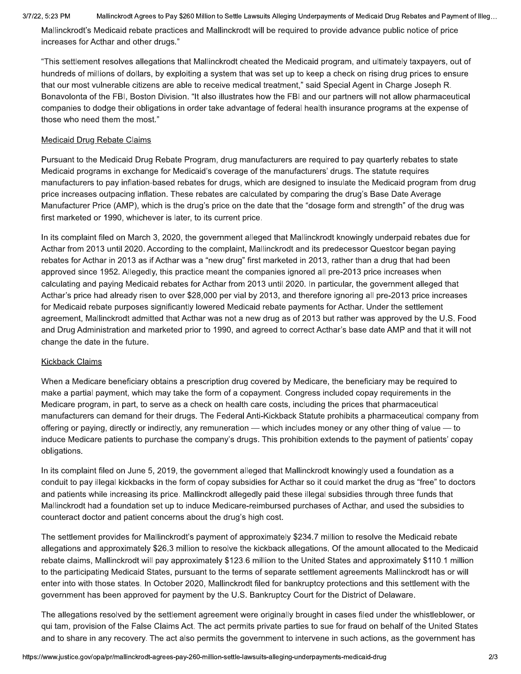## 3/7/22, 5:23 PM

Mallinckrodt Agrees to Pay \$260 Million to Settle Lawsuits Alleging Underpayments of Medicaid Drug Rebates and Payment of Illeg...

Mallinckrodt's Medicaid rebate practices and Mallinckrodt will be required to provide advance public notice of price increases for Acthar and other drugs."

"This settlement resolves allegations that Mallinckrodt cheated the Medicaid program, and ultimately taxpayers, out of hundreds of millions of dollars, by exploiting a system that was set up to keep a check on rising drug prices to ensure that our most vulnerable citizens are able to receive medical treatment," said Special Agent in Charge Joseph R. Bonavolonta of the FBI, Boston Division. "It also illustrates how the FBI and our partners will not allow pharmaceutical companies to dodge their obligations in order take advantage of federal health insurance programs at the expense of those who need them the most."

## Medicaid Drug Rebate Claims

Pursuant to the Medicaid Drug Rebate Program, drug manufacturers are required to pay quarterly rebates to state Medicaid programs in exchange for Medicaid's coverage of the manufacturers' drugs. The statute requires manufacturers to pay inflation-based rebates for drugs, which are designed to insulate the Medicaid program from drug price increases outpacing inflation. These rebates are calculated by comparing the drug's Base Date Average Manufacturer Price (AMP), which is the drug's price on the date that the "dosage form and strength" of the drug was first marketed or 1990, whichever is later, to its current price.

In its complaint filed on March 3, 2020, the government alleged that Mallinckrodt knowingly underpaid rebates due for Acthar from 2013 until 2020. According to the complaint, Mallinckrodt and its predecessor Questcor began paying rebates for Acthar in 2013 as if Acthar was a "new drug" first marketed in 2013, rather than a drug that had been approved since 1952. Allegedly, this practice meant the companies ignored all pre-2013 price increases when calculating and paying Medicaid rebates for Acthar from 2013 until 2020. In particular, the government alleged that Acthar's price had already risen to over \$28,000 per vial by 2013, and therefore ignoring all pre-2013 price increases for Medicaid rebate purposes significantly lowered Medicaid rebate payments for Acthar. Under the settlement agreement, Mallinckrodt admitted that Acthar was not a new drug as of 2013 but rather was approved by the U.S. Food and Drug Administration and marketed prior to 1990, and agreed to correct Acthar's base date AMP and that it will not change the date in the future.

## **Kickback Claims**

When a Medicare beneficiary obtains a prescription drug covered by Medicare, the beneficiary may be required to make a partial payment, which may take the form of a copayment. Congress included copay requirements in the Medicare program, in part, to serve as a check on health care costs, including the prices that pharmaceutical manufacturers can demand for their drugs. The Federal Anti-Kickback Statute prohibits a pharmaceutical company from offering or paying, directly or indirectly, any remuneration — which includes money or any other thing of value — to induce Medicare patients to purchase the company's drugs. This prohibition extends to the payment of patients' copay obligations.

In its complaint filed on June 5, 2019, the government alleged that Mallinckrodt knowingly used a foundation as a conduit to pay illegal kickbacks in the form of copay subsidies for Acthar so it could market the drug as "free" to doctors and patients while increasing its price. Mallinckrodt allegedly paid these illegal subsidies through three funds that Mallinckrodt had a foundation set up to induce Medicare-reimbursed purchases of Acthar, and used the subsidies to counteract doctor and patient concerns about the drug's high cost.

The settlement provides for Mallinckrodt's payment of approximately \$234.7 million to resolve the Medicaid rebate allegations and approximately \$26.3 million to resolve the kickback allegations. Of the amount allocated to the Medicaid rebate claims, Mallinckrodt will pay approximately \$123.6 million to the United States and approximately \$110.1 million to the participating Medicaid States, pursuant to the terms of separate settlement agreements Mallinckrodt has or will enter into with those states. In October 2020, Mallinckrodt filed for bankruptcy protections and this settlement with the government has been approved for payment by the U.S. Bankruptcy Court for the District of Delaware.

The allegations resolved by the settlement agreement were originally brought in cases filed under the whistleblower, or qui tam, provision of the False Claims Act. The act permits private parties to sue for fraud on behalf of the United States and to share in any recovery. The act also permits the government to intervene in such actions, as the government has